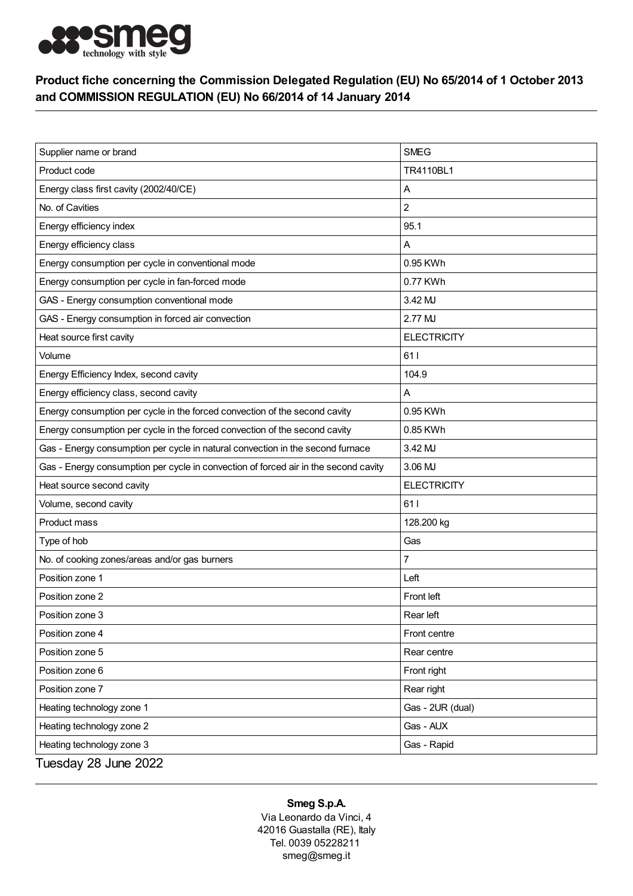

## Product fiche concerning the Commission Delegated Regulation (EU) No 65/2014 of 1 October 2013 and COMMISSION REGULATION (EU) No 66/2014 of 14 January 2014

| Supplier name or brand                                                              | <b>SMEG</b>        |
|-------------------------------------------------------------------------------------|--------------------|
| Product code                                                                        | TR4110BL1          |
| Energy class first cavity (2002/40/CE)                                              | Α                  |
| No. of Cavities                                                                     | 2                  |
| Energy efficiency index                                                             | 95.1               |
| Energy efficiency class                                                             | A                  |
| Energy consumption per cycle in conventional mode                                   | 0.95 KWh           |
| Energy consumption per cycle in fan-forced mode                                     | 0.77 KWh           |
| GAS - Energy consumption conventional mode                                          | 3.42 MJ            |
| GAS - Energy consumption in forced air convection                                   | 2.77 MJ            |
| Heat source first cavity                                                            | <b>ELECTRICITY</b> |
| Volume                                                                              | 611                |
| Energy Efficiency Index, second cavity                                              | 104.9              |
| Energy efficiency class, second cavity                                              | A                  |
| Energy consumption per cycle in the forced convection of the second cavity          | 0.95 KWh           |
| Energy consumption per cycle in the forced convection of the second cavity          | 0.85 KWh           |
| Gas - Energy consumption per cycle in natural convection in the second furnace      | 3.42 MJ            |
| Gas - Energy consumption per cycle in convection of forced air in the second cavity | 3.06 MJ            |
| Heat source second cavity                                                           | <b>ELECTRICITY</b> |
| Volume, second cavity                                                               | 611                |
| Product mass                                                                        | 128.200 kg         |
| Type of hob                                                                         | Gas                |
| No. of cooking zones/areas and/or gas burners                                       | 7                  |
| Position zone 1                                                                     | Left               |
| Position zone 2                                                                     | Front left         |
| Position zone 3                                                                     | Rear left          |
| Position zone 4                                                                     | Front centre       |
| Position zone 5                                                                     | Rear centre        |
| Position zone 6                                                                     | Front right        |
| Position zone 7                                                                     | Rear right         |
| Heating technology zone 1                                                           | Gas - 2UR (dual)   |
| Heating technology zone 2                                                           | Gas - AUX          |
| Heating technology zone 3                                                           | Gas - Rapid        |
| Tuesday 28 June 2022                                                                |                    |

## Smeg S.p.A.

Via Leonardo da Vinci, 4 42016 Guastalla (RE), Italy Tel. 0039 05228211 smeg@smeg.it